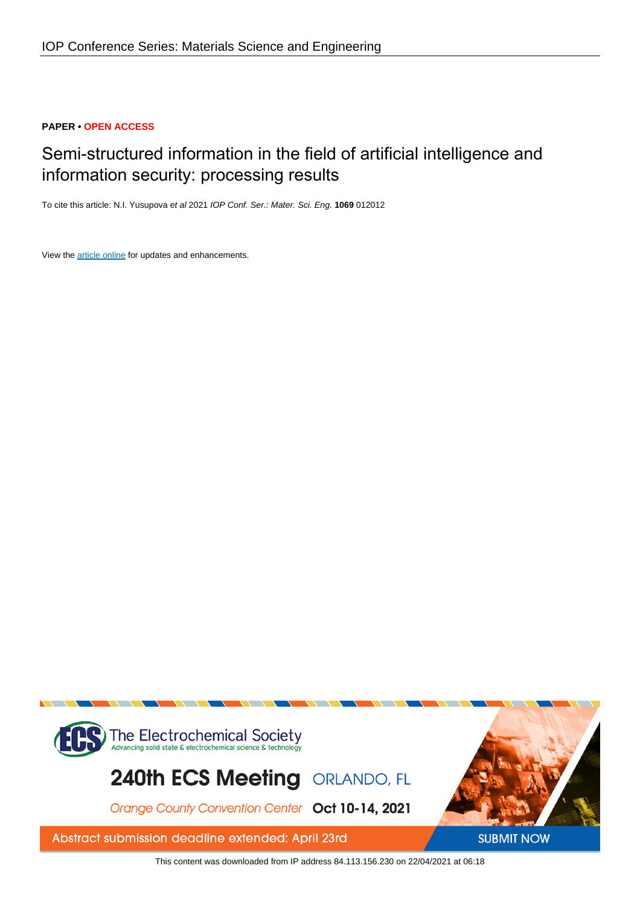## **PAPER • OPEN ACCESS**

# Semi-structured information in the field of artificial intelligence and information security: processing results

To cite this article: N.I. Yusupova et al 2021 IOP Conf. Ser.: Mater. Sci. Eng. **1069** 012012

View the [article online](https://doi.org/10.1088/1757-899X/1069/1/012012) for updates and enhancements.



This content was downloaded from IP address 84.113.156.230 on 22/04/2021 at 06:18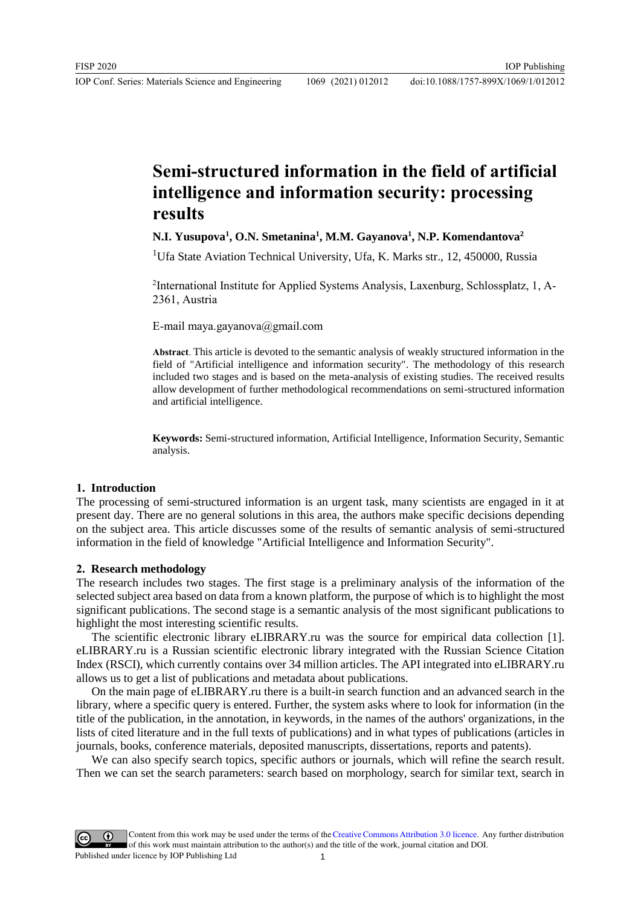## **Semi-structured information in the field of artificial intelligence and information security: processing results**

## **N.I. Yusupova<sup>1</sup> , O.N. Smetanina<sup>1</sup> , M.M. Gayanova<sup>1</sup> , N.P. Komendantova<sup>2</sup>**

<sup>1</sup>Ufa State Aviation Technical University, Ufa, K. Marks str., 12, 450000, Russia

<sup>2</sup>International Institute for Applied Systems Analysis, Laxenburg, Schlossplatz, 1, A-2361, Austria

E-mail maya.gayanova@gmail.com

**Abstract**. This article is devoted to the semantic analysis of weakly structured information in the field of "Artificial intelligence and information security". The methodology of this research included two stages and is based on the meta-analysis of existing studies. The received results allow development of further methodological recommendations on semi-structured information and artificial intelligence.

**Keywords:** Semi-structured information, Artificial Intelligence, Information Security, Semantic analysis.

#### **1. Introduction**

The processing of semi-structured information is an urgent task, many scientists are engaged in it at present day. There are no general solutions in this area, the authors make specific decisions depending on the subject area. This article discusses some of the results of semantic analysis of semi-structured information in the field of knowledge "Artificial Intelligence and Information Security".

#### **2. Research methodology**

The research includes two stages. The first stage is a preliminary analysis of the information of the selected subject area based on data from a known platform, the purpose of which is to highlight the most significant publications. The second stage is a semantic analysis of the most significant publications to highlight the most interesting scientific results.

The scientific electronic library eLIBRARY.ru was the source for empirical data collection [1]. eLIBRARY.ru is a Russian scientific electronic library integrated with the Russian Science Citation Index (RSCI), which currently contains over 34 million articles. The API integrated into eLIBRARY.ru allows us to get a list of publications and metadata about publications.

On the main page of eLIBRARY.ru there is a built-in search function and an advanced search in the library, where a specific query is entered. Further, the system asks where to look for information (in the title of the publication, in the annotation, in keywords, in the names of the authors' organizations, in the lists of cited literature and in the full texts of publications) and in what types of publications (articles in journals, books, conference materials, deposited manuscripts, dissertations, reports and patents).

We can also specify search topics, specific authors or journals, which will refine the search result. Then we can set the search parameters: search based on morphology, search for similar text, search in

Content from this work may be used under the terms of theCreative Commons Attribution 3.0 licence. Any further distribution of this work must maintain attribution to the author(s) and the title of the work, journal citation and DOI. Published under licence by IOP Publishing Ltd 1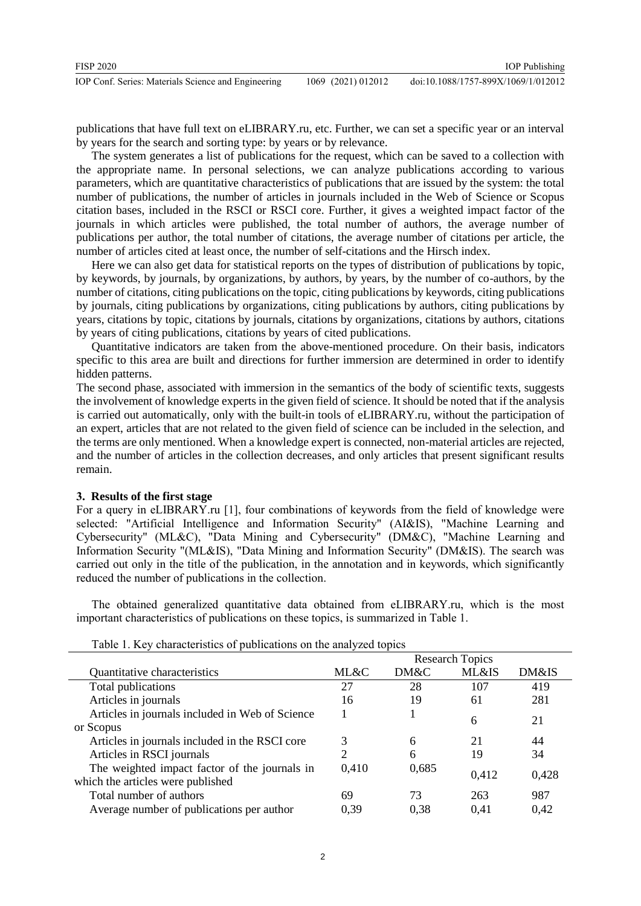publications that have full text on eLIBRARY.ru, etc. Further, we can set a specific year or an interval by years for the search and sorting type: by years or by relevance.

The system generates a list of publications for the request, which can be saved to a collection with the appropriate name. In personal selections, we can analyze publications according to various parameters, which are quantitative characteristics of publications that are issued by the system: the total number of publications, the number of articles in journals included in the Web of Science or Scopus citation bases, included in the RSCI or RSCI core. Further, it gives a weighted impact factor of the journals in which articles were published, the total number of authors, the average number of publications per author, the total number of citations, the average number of citations per article, the number of articles cited at least once, the number of self-citations and the Hirsch index.

Here we can also get data for statistical reports on the types of distribution of publications by topic, by keywords, by journals, by organizations, by authors, by years, by the number of co-authors, by the number of citations, citing publications on the topic, citing publications by keywords, citing publications by journals, citing publications by organizations, citing publications by authors, citing publications by years, citations by topic, citations by journals, citations by organizations, citations by authors, citations by years of citing publications, citations by years of cited publications.

Quantitative indicators are taken from the above-mentioned procedure. On their basis, indicators specific to this area are built and directions for further immersion are determined in order to identify hidden patterns.

The second phase, associated with immersion in the semantics of the body of scientific texts, suggests the involvement of knowledge experts in the given field of science. It should be noted that if the analysis is carried out automatically, only with the built-in tools of eLIBRARY.ru, without the participation of an expert, articles that are not related to the given field of science can be included in the selection, and the terms are only mentioned. When a knowledge expert is connected, non-material articles are rejected, and the number of articles in the collection decreases, and only articles that present significant results remain.

### **3. Results of the first stage**

For a query in eLIBRARY.ru [1], four combinations of keywords from the field of knowledge were selected: "Artificial Intelligence and Information Security" (AI&IS), "Machine Learning and Cybersecurity" (ML&C), "Data Mining and Cybersecurity" (DM&C), "Machine Learning and Information Security "(ML&IS), "Data Mining and Information Security" (DM&IS). The search was carried out only in the title of the publication, in the annotation and in keywords, which significantly reduced the number of publications in the collection.

The obtained generalized quantitative data obtained from eLIBRARY.ru, which is the most important characteristics of publications on these topics, is summarized in Table 1.

|                                                 |                | <b>Research Topics</b> |                  |       |
|-------------------------------------------------|----------------|------------------------|------------------|-------|
| Quantitative characteristics                    | ML&C           | DM&C                   | <b>ML&amp;IS</b> | DM&IS |
| Total publications                              | 27             | 28                     | 107              | 419   |
| Articles in journals                            | 16             | 19                     | 61               | 281   |
| Articles in journals included in Web of Science |                |                        | 6                | 21    |
| or Scopus                                       |                |                        |                  |       |
| Articles in journals included in the RSCI core  | 3              | 6                      | 21               | 44    |
| Articles in RSCI journals                       | $\overline{c}$ | 6                      | 19               | 34    |
| The weighted impact factor of the journals in   | 0,410          | 0,685                  |                  | 0,428 |
| which the articles were published               |                |                        | 0.412            |       |
| Total number of authors                         | 69             | 73                     | 263              | 987   |
| Average number of publications per author       | 0.39           | 0.38                   | 0.41             | 0.42  |

|  | Table 1. Key characteristics of publications on the analyzed topics |  |  |  |
|--|---------------------------------------------------------------------|--|--|--|
|  |                                                                     |  |  |  |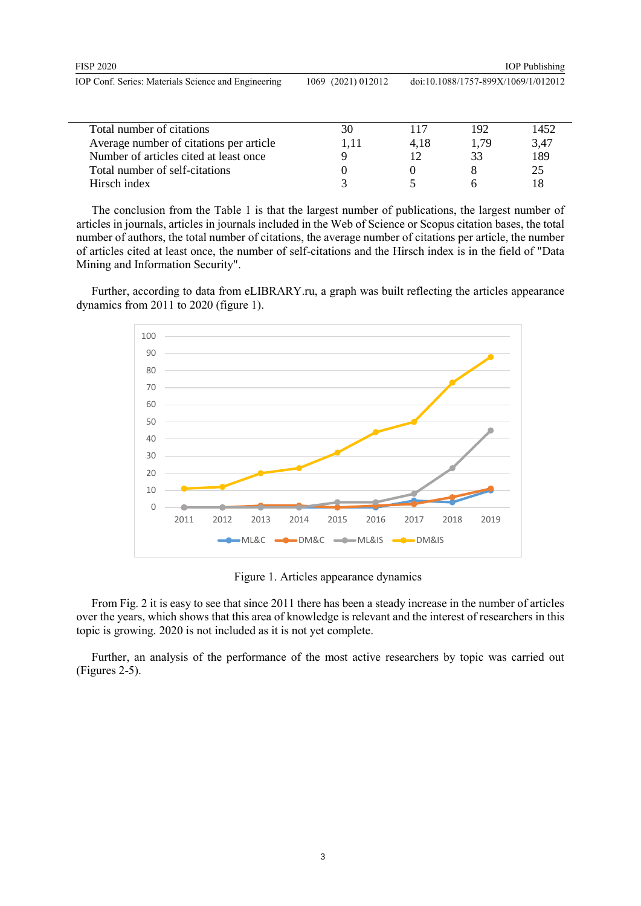| <b>FISP 2020</b>                                    |                    | <b>IOP</b> Publishing               |
|-----------------------------------------------------|--------------------|-------------------------------------|
| IOP Conf. Series: Materials Science and Engineering | 1069 (2021) 012012 | doi:10.1088/1757-899X/1069/1/012012 |
|                                                     |                    |                                     |

| Total number of citations               |      | 117  | 192  | 1452 |
|-----------------------------------------|------|------|------|------|
| Average number of citations per article | 1.11 | 4.18 | 1.79 | 3.47 |
| Number of articles cited at least once  |      |      | 33   | 189  |
| Total number of self-citations          |      |      |      | 25   |
| Hirsch index                            |      |      |      |      |

The conclusion from the Table 1 is that the largest number of publications, the largest number of articles in journals, articles in journals included in the Web of Science or Scopus citation bases, the total number of authors, the total number of citations, the average number of citations per article, the number of articles cited at least once, the number of self-citations and the Hirsch index is in the field of "Data Mining and Information Security".

Further, according to data from eLIBRARY.ru, a graph was built reflecting the articles appearance dynamics from 2011 to 2020 (figure 1).



Figure 1. Articles appearance dynamics

From Fig. 2 it is easy to see that since 2011 there has been a steady increase in the number of articles over the years, which shows that this area of knowledge is relevant and the interest of researchers in this topic is growing. 2020 is not included as it is not yet complete.

Further, an analysis of the performance of the most active researchers by topic was carried out (Figures 2-5).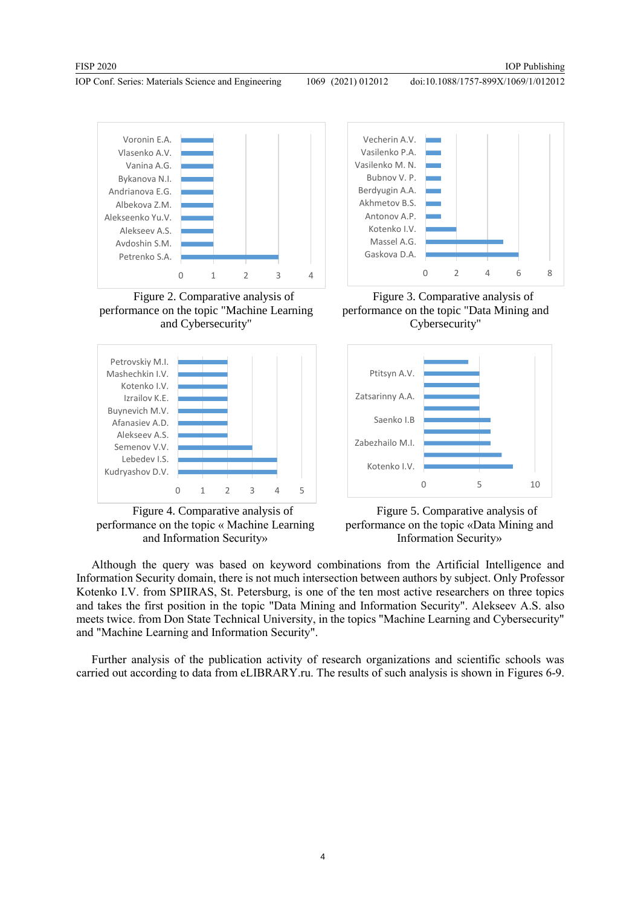doi:10.1088/1757-899X/1069/1/012012



Figure 2. Comparative analysis of performance on the topic "Machine Learning and Cybersecurity"



Figure 4. Comparative analysis of performance on the topic « Machine Learning and Information Security»



Figure 3. Comparative analysis of performance on the topic "Data Mining and Cybersecurity"





Although the query was based on keyword combinations from the Artificial Intelligence and Information Security domain, there is not much intersection between authors by subject. Only Professor Kotenko I.V. from SPIIRAS, St. Petersburg, is one of the ten most active researchers on three topics and takes the first position in the topic "Data Mining and Information Security". Alekseev A.S. also meets twice. from Don State Technical University, in the topics "Machine Learning and Cybersecurity" and "Machine Learning and Information Security".

Further analysis of the publication activity of research organizations and scientific schools was carried out according to data from eLIBRARY.ru. The results of such analysis is shown in Figures 6-9.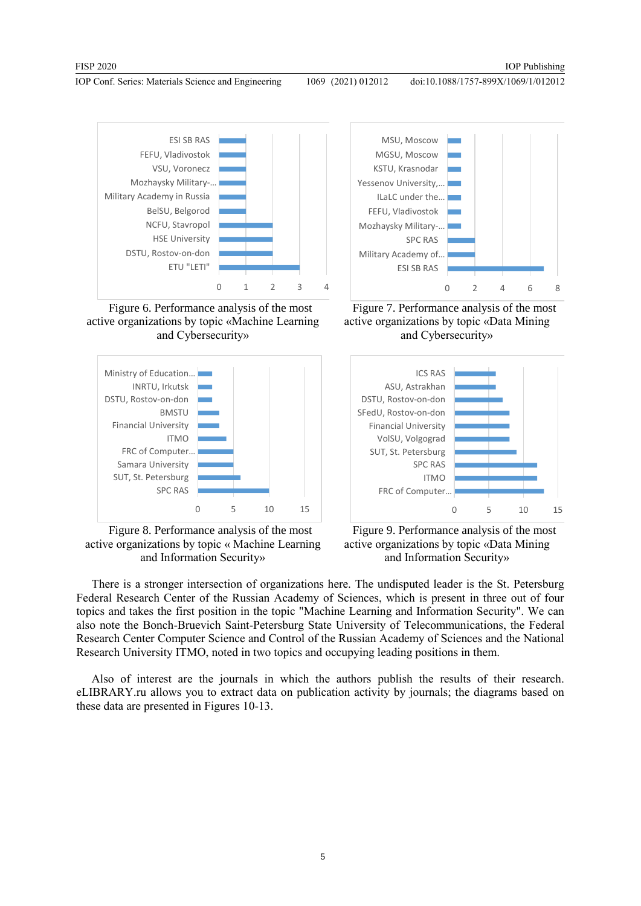doi:10.1088/1757-899X/1069/1/012012



Figure 6. Рerformance analysis of the most active organizations by topic «Machine Learning and Cybersecurity»



Figure 8. Рerformance analysis of the most active organizations by topic « Machine Learning and Information Security»



Figure 7. Рerformance analysis of the most active organizations by topic «Data Mining and Cybersecurity»



Figure 9. Рerformance analysis of the most active organizations by topic «Data Mining and Information Security»

There is a stronger intersection of organizations here. The undisputed leader is the St. Petersburg Federal Research Center of the Russian Academy of Sciences, which is present in three out of four topics and takes the first position in the topic "Machine Learning and Information Security". We can also note the Bonch-Bruevich Saint-Petersburg State University of Telecommunications, the Federal Research Center Computer Science and Control of the Russian Academy of Sciences and the National Research University ITMO, noted in two topics and occupying leading positions in them.

Also of interest are the journals in which the authors publish the results of their research. eLIBRARY.ru allows you to extract data on publication activity by journals; the diagrams based on these data are presented in Figures 10-13.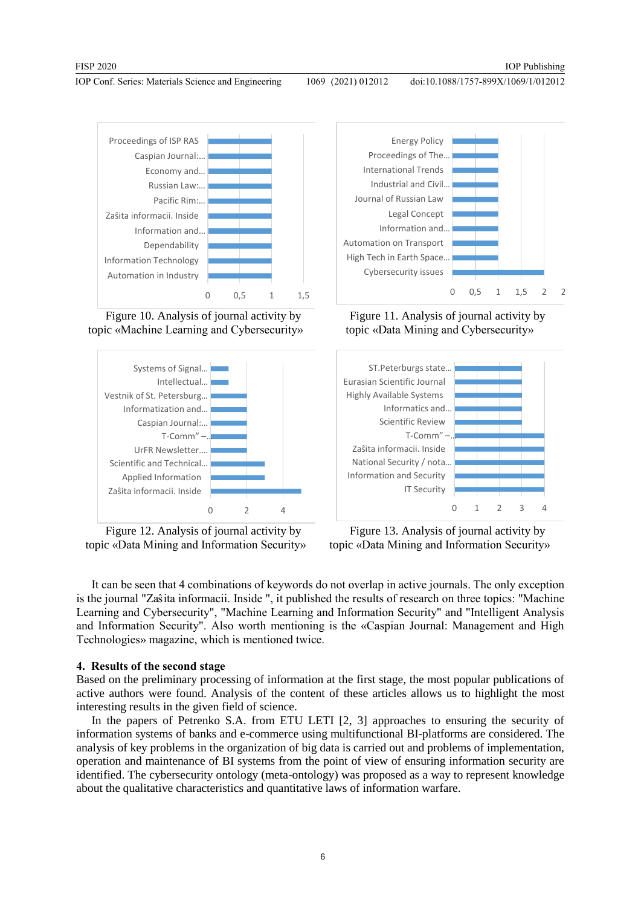doi:10.1088/1757-899X/1069/1/012012



Figure 10. Analysis of journal activity by topic «Machine Learning and Cybersecurity»



Figure 12. Analysis of journal activity by topic «Data Mining and Information Security»



Figure 11. Analysis of journal activity by topic «Data Mining and Cybersecurity»



Figure 13. Analysis of journal activity by topic «Data Mining and Information Security»

It can be seen that 4 combinations of keywords do not overlap in active journals. The only exception is the journal "Zaŝita informacii. Inside ", it published the results of research on three topics: "Machine Learning and Cybersecurity", "Machine Learning and Information Security" and "Intelligent Analysis and Information Security". Also worth mentioning is the «Caspian Journal: Management and High Technologies» magazine, which is mentioned twice.

## **4. Results of the second stage**

Based on the preliminary processing of information at the first stage, the most popular publications of active authors were found. Analysis of the content of these articles allows us to highlight the most interesting results in the given field of science.

In the papers of Petrenko S.A. from ETU LETI [2, 3] approaches to ensuring the security of information systems of banks and e-commerce using multifunctional BI-platforms are considered. The analysis of key problems in the organization of big data is carried out and problems of implementation, operation and maintenance of BI systems from the point of view of ensuring information security are identified. The cybersecurity ontology (meta-ontology) was proposed as a way to represent knowledge about the qualitative characteristics and quantitative laws of information warfare.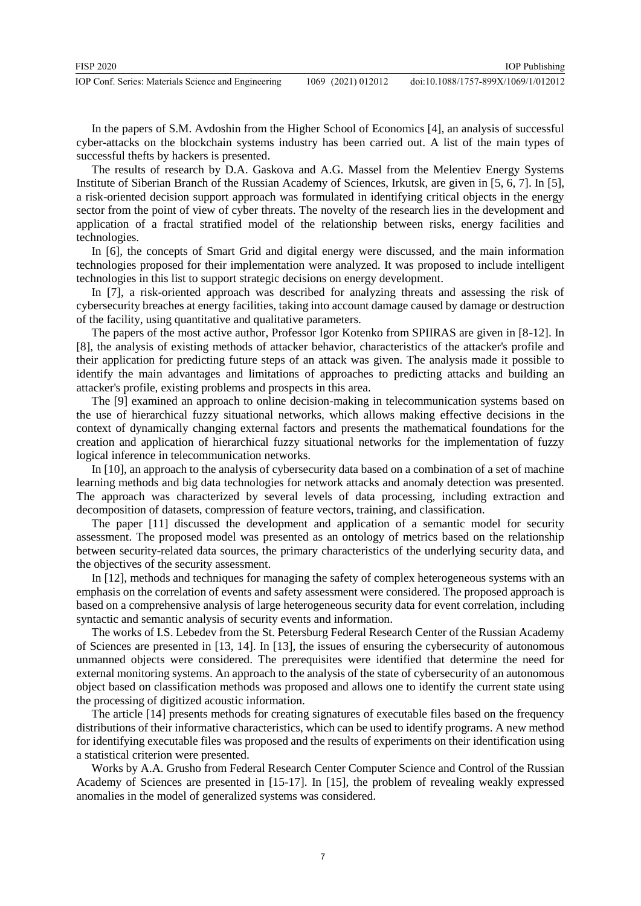In the papers of S.M. Avdoshin from the Higher School of Economics [4], an analysis of successful cyber-attacks on the blockchain systems industry has been carried out. A list of the main types of successful thefts by hackers is presented.

The results of research by D.A. Gaskova and A.G. Massel from the Melentiev Energy Systems Institute of Siberian Branch of the Russian Academy of Sciences, Irkutsk, are given in [5, 6, 7]. In [5], a risk-oriented decision support approach was formulated in identifying critical objects in the energy sector from the point of view of cyber threats. The novelty of the research lies in the development and application of a fractal stratified model of the relationship between risks, energy facilities and technologies.

In [6], the concepts of Smart Grid and digital energy were discussed, and the main information technologies proposed for their implementation were analyzed. It was proposed to include intelligent technologies in this list to support strategic decisions on energy development.

In [7], a risk-oriented approach was described for analyzing threats and assessing the risk of cybersecurity breaches at energy facilities, taking into account damage caused by damage or destruction of the facility, using quantitative and qualitative parameters.

The papers of the most active author, Professor Igor Kotenko from SPIIRAS are given in [8-12]. In [8], the analysis of existing methods of attacker behavior, characteristics of the attacker's profile and their application for predicting future steps of an attack was given. The analysis made it possible to identify the main advantages and limitations of approaches to predicting attacks and building an attacker's profile, existing problems and prospects in this area.

The [9] examined an approach to online decision-making in telecommunication systems based on the use of hierarchical fuzzy situational networks, which allows making effective decisions in the context of dynamically changing external factors and presents the mathematical foundations for the creation and application of hierarchical fuzzy situational networks for the implementation of fuzzy logical inference in telecommunication networks.

In [10], an approach to the analysis of cybersecurity data based on a combination of a set of machine learning methods and big data technologies for network attacks and anomaly detection was presented. The approach was characterized by several levels of data processing, including extraction and decomposition of datasets, compression of feature vectors, training, and classification.

The paper [11] discussed the development and application of a semantic model for security assessment. The proposed model was presented as an ontology of metrics based on the relationship between security-related data sources, the primary characteristics of the underlying security data, and the objectives of the security assessment.

In [12], methods and techniques for managing the safety of complex heterogeneous systems with an emphasis on the correlation of events and safety assessment were considered. The proposed approach is based on a comprehensive analysis of large heterogeneous security data for event correlation, including syntactic and semantic analysis of security events and information.

The works of I.S. Lebedev from the St. Petersburg Federal Research Center of the Russian Academy of Sciences are presented in [13, 14]. In [13], the issues of ensuring the cybersecurity of autonomous unmanned objects were considered. The prerequisites were identified that determine the need for external monitoring systems. An approach to the analysis of the state of cybersecurity of an autonomous object based on classification methods was proposed and allows one to identify the current state using the processing of digitized acoustic information.

The article [14] presents methods for creating signatures of executable files based on the frequency distributions of their informative characteristics, which can be used to identify programs. A new method for identifying executable files was proposed and the results of experiments on their identification using a statistical criterion were presented.

Works by A.A. Grusho from Federal Research Center Computer Science and Control of the Russian Academy of Sciences are presented in [15-17]. In [15], the problem of revealing weakly expressed anomalies in the model of generalized systems was considered.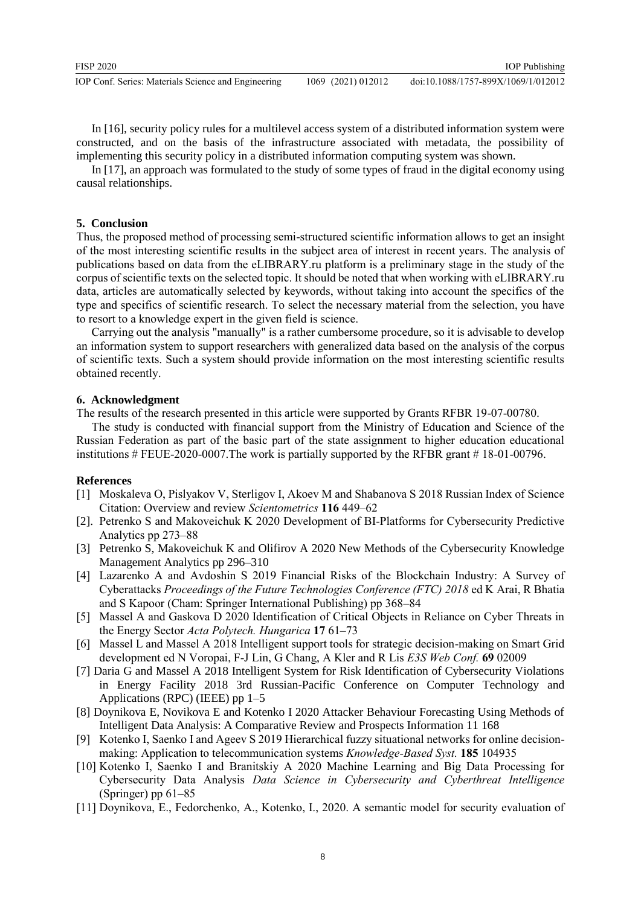| FISP 2020                                           |                    | <b>IOP</b> Publishing               |
|-----------------------------------------------------|--------------------|-------------------------------------|
| IOP Conf. Series: Materials Science and Engineering | 1069 (2021) 012012 | doi:10.1088/1757-899X/1069/1/012012 |

In [16], security policy rules for a multilevel access system of a distributed information system were constructed, and on the basis of the infrastructure associated with metadata, the possibility of implementing this security policy in a distributed information computing system was shown.

In [17], an approach was formulated to the study of some types of fraud in the digital economy using causal relationships.

#### **5. Conclusion**

Thus, the proposed method of processing semi-structured scientific information allows to get an insight of the most interesting scientific results in the subject area of interest in recent years. The analysis of publications based on data from the eLIBRARY.ru platform is a preliminary stage in the study of the corpus of scientific texts on the selected topic. It should be noted that when working with eLIBRARY.ru data, articles are automatically selected by keywords, without taking into account the specifics of the type and specifics of scientific research. To select the necessary material from the selection, you have to resort to a knowledge expert in the given field is science.

Carrying out the analysis "manually" is a rather cumbersome procedure, so it is advisable to develop an information system to support researchers with generalized data based on the analysis of the corpus of scientific texts. Such a system should provide information on the most interesting scientific results obtained recently.

#### **6. Acknowledgment**

The results of the research presented in this article were supported by Grants RFBR 19-07-00780.

The study is conducted with financial support from the Ministry of Education and Science of the Russian Federation as part of the basic part of the state assignment to higher education educational institutions # FEUE-2020-0007.The work is partially supported by the RFBR grant # 18-01-00796.

### **References**

- [1] Moskaleva O, Pislyakov V, Sterligov I, Akoev M and Shabanova S 2018 Russian Index of Science Citation: Overview and review *Scientometrics* **116** 449–62
- [2]. Petrenko S and Makoveichuk K 2020 Development of BI-Platforms for Cybersecurity Predictive Analytics pp 273–88
- [3] Petrenko S, Makoveichuk K and Olifirov A 2020 New Methods of the Cybersecurity Knowledge Management Analytics pp 296–310
- [4] Lazarenko A and Avdoshin S 2019 Financial Risks of the Blockchain Industry: A Survey of Cyberattacks *Proceedings of the Future Technologies Conference (FTC) 2018* ed K Arai, R Bhatia and S Kapoor (Cham: Springer International Publishing) pp 368–84
- [5] Massel A and Gaskova D 2020 Identification of Critical Objects in Reliance on Cyber Threats in the Energy Sector *Acta Polytech. Hungarica* **17** 61–73
- [6] Massel L and Massel A 2018 Intelligent support tools for strategic decision-making on Smart Grid development ed N Voropai, F-J Lin, G Chang, A Kler and R Lis *E3S Web Conf.* **69** 02009
- [7] Daria G and Massel A 2018 Intelligent System for Risk Identification of Cybersecurity Violations in Energy Facility 2018 3rd Russian-Pacific Conference on Computer Technology and Applications (RPC) (IEEE) pp 1–5
- [8] Doynikova E, Novikova E and Kotenko I 2020 Attacker Behaviour Forecasting Using Methods of Intelligent Data Analysis: A Comparative Review and Prospects Information 11 168
- [9] Kotenko I, Saenko I and Ageev S 2019 Hierarchical fuzzy situational networks for online decisionmaking: Application to telecommunication systems *Knowledge-Based Syst.* **185** 104935
- [10] Kotenko I, Saenko I and Branitskiy A 2020 Machine Learning and Big Data Processing for Cybersecurity Data Analysis *Data Science in Cybersecurity and Cyberthreat Intelligence* (Springer) pp 61–85
- [11] Doynikova, E., Fedorchenko, A., Kotenko, I., 2020. A semantic model for security evaluation of